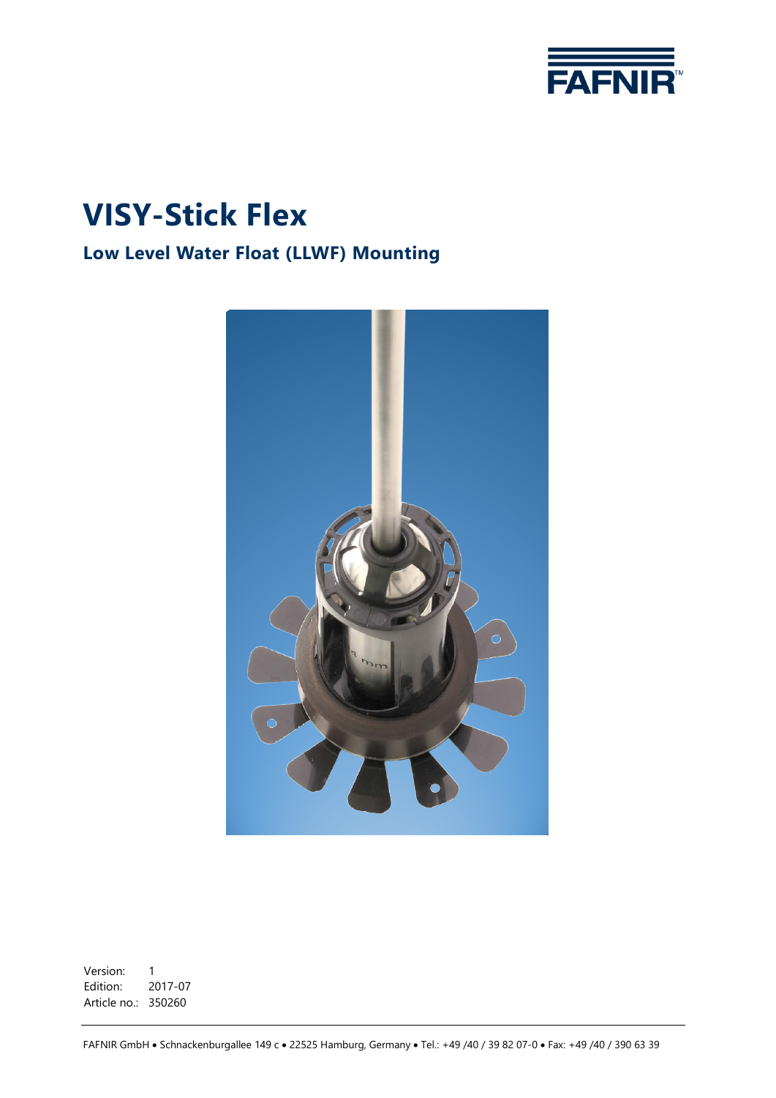

# **VISY-Stick Flex**

# **Low Level Water Float (LLWF) Mounting**



Version: 1<br>Edition: 20 Edition: 2017-07 Article no.: 350260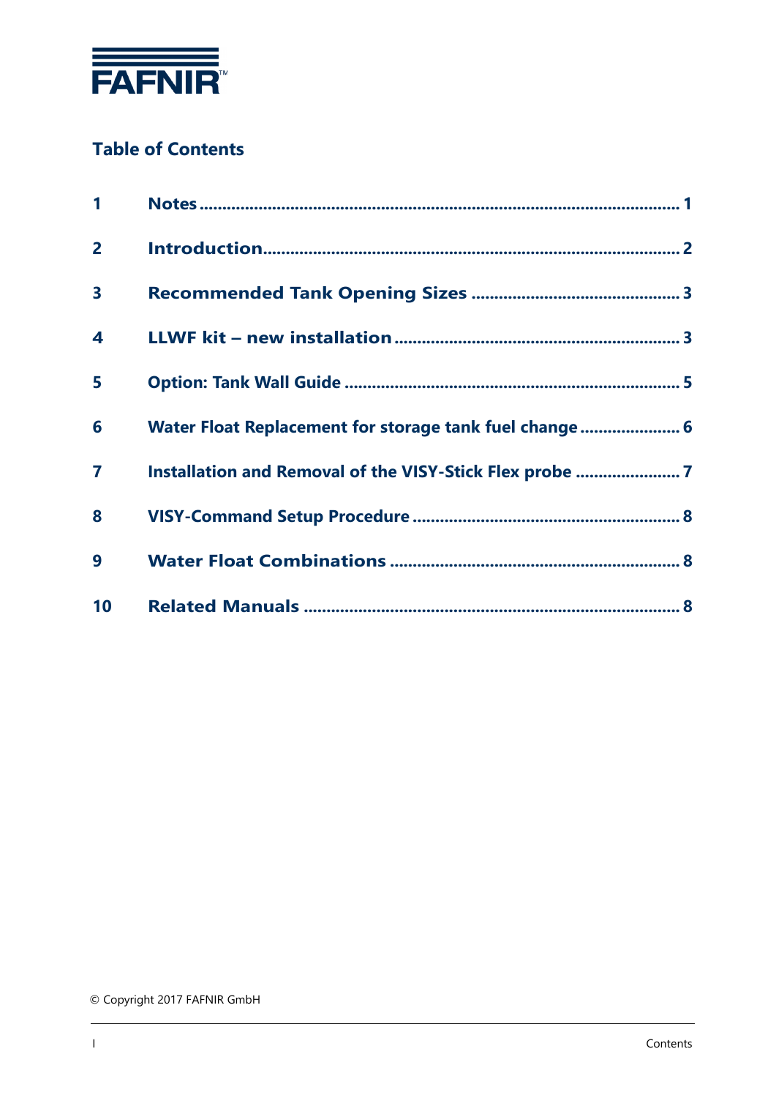

# **Table of Contents**

| 1              |                                                         |
|----------------|---------------------------------------------------------|
| $\overline{2}$ |                                                         |
| 3              |                                                         |
| 4              |                                                         |
| 5              |                                                         |
| 6              | Water Float Replacement for storage tank fuel change 6  |
| $\overline{7}$ | Installation and Removal of the VISY-Stick Flex probe 7 |
| 8              |                                                         |
| 9              |                                                         |
| 10             |                                                         |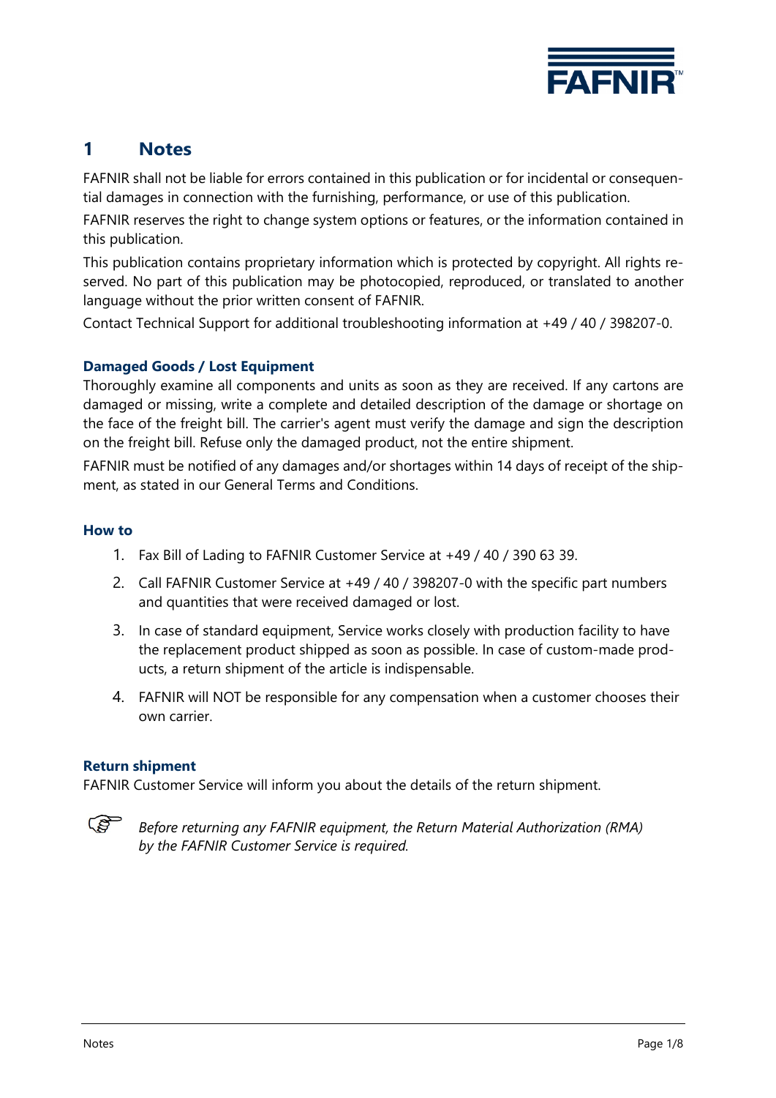

## <span id="page-2-0"></span>**1 Notes**

FAFNIR shall not be liable for errors contained in this publication or for incidental or consequential damages in connection with the furnishing, performance, or use of this publication.

FAFNIR reserves the right to change system options or features, or the information contained in this publication.

This publication contains proprietary information which is protected by copyright. All rights reserved. No part of this publication may be photocopied, reproduced, or translated to another language without the prior written consent of FAFNIR.

Contact Technical Support for additional troubleshooting information at +49 / 40 / 398207-0.

#### **Damaged Goods / Lost Equipment**

Thoroughly examine all components and units as soon as they are received. If any cartons are damaged or missing, write a complete and detailed description of the damage or shortage on the face of the freight bill. The carrier's agent must verify the damage and sign the description on the freight bill. Refuse only the damaged product, not the entire shipment.

FAFNIR must be notified of any damages and/or shortages within 14 days of receipt of the shipment, as stated in our General Terms and Conditions.

#### **How to**

- 1. Fax Bill of Lading to FAFNIR Customer Service at +49 / 40 / 390 63 39.
- 2. Call FAFNIR Customer Service at +49 / 40 / 398207-0 with the specific part numbers and quantities that were received damaged or lost.
- 3. In case of standard equipment, Service works closely with production facility to have the replacement product shipped as soon as possible. In case of custom-made products, a return shipment of the article is indispensable.
- 4. FAFNIR will NOT be responsible for any compensation when a customer chooses their own carrier.

#### **Return shipment**

FAFNIR Customer Service will inform you about the details of the return shipment.



*Before returning any FAFNIR equipment, the Return Material Authorization (RMA) by the FAFNIR Customer Service is required.*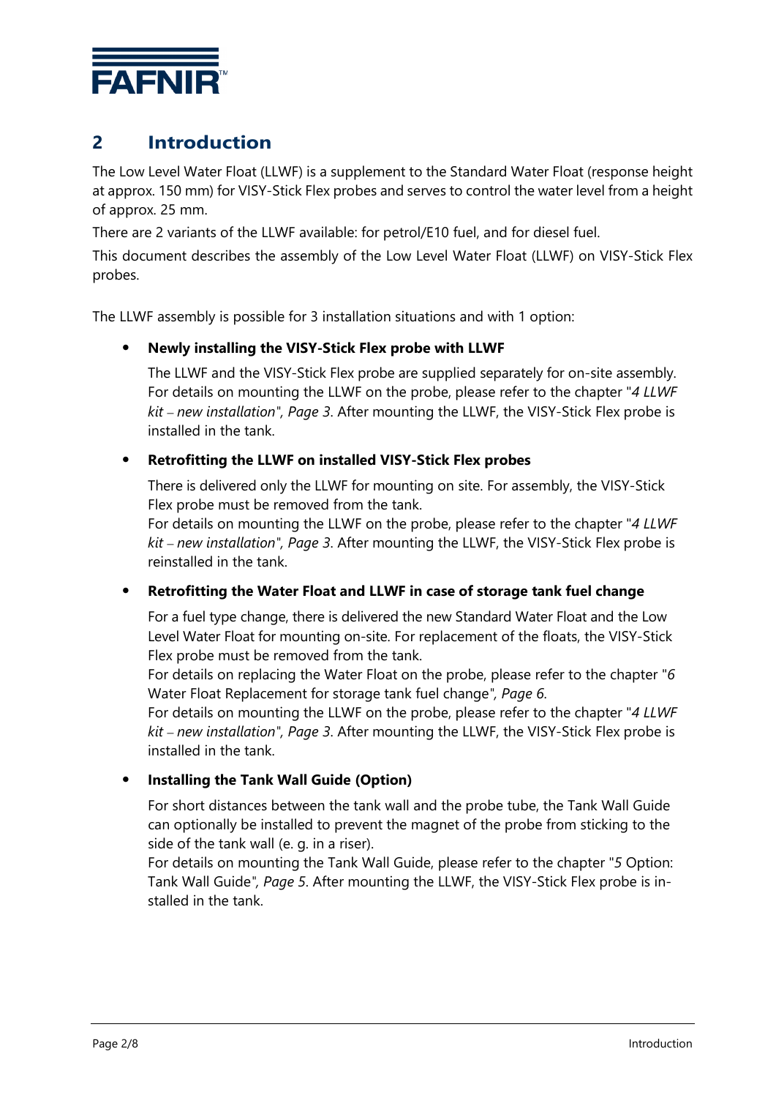

# <span id="page-3-0"></span>**2 Introduction**

The Low Level Water Float (LLWF) is a supplement to the Standard Water Float (response height at approx. 150 mm) for VISY-Stick Flex probes and serves to control the water level from a height of approx. 25 mm.

There are 2 variants of the LLWF available: for petrol/E10 fuel, and for diesel fuel.

This document describes the assembly of the Low Level Water Float (LLWF) on VISY-Stick Flex probes.

The LLWF assembly is possible for 3 installation situations and with 1 option:

#### • **Newly installing the VISY-Stick Flex probe with LLWF**

The LLWF and the VISY-Stick Flex probe are supplied separately for on-site assembly. For details on mounting the LLWF on the probe, please refer to the chapter "*4 [LLWF](#page-4-1)  kit* – *[new installation"](#page-4-1), Page 3*. After mounting the LLWF, the VISY-Stick Flex probe is installed in the tank.

#### • **Retrofitting the LLWF on installed VISY-Stick Flex probes**

There is delivered only the LLWF for mounting on site. For assembly, the VISY-Stick Flex probe must be removed from the tank.

For details on mounting the LLWF on the probe, please refer to the chapter "*4 [LLWF](#page-4-1)  kit* – *[new installation"](#page-4-1), Page 3*. After mounting the LLWF, the VISY-Stick Flex probe is reinstalled in the tank.

#### • **Retrofitting the Water Float and LLWF in case of storage tank fuel change**

For a fuel type change, there is delivered the new Standard Water Float and the Low Level Water Float for mounting on-site. For replacement of the floats, the VISY-Stick Flex probe must be removed from the tank.

For details on replacing the Water Float on the probe, please refer to the chapter "*6* [Water Float Replacement for storage tank fuel change](#page-7-0)*", Page 6*.

For details on mounting the LLWF on the probe, please refer to the chapter "*4 [LLWF](#page-4-1)  kit* – *[new installation"](#page-4-1), Page 3*. After mounting the LLWF, the VISY-Stick Flex probe is installed in the tank.

#### • **Installing the Tank Wall Guide (Option)**

For short distances between the tank wall and the probe tube, the Tank Wall Guide can optionally be installed to prevent the magnet of the probe from sticking to the side of the tank wall (e. g. in a riser).

For details on mounting the Tank Wall Guide, please refer to the chapter "*[5](#page-6-0)* [Option:](#page-6-0)  [Tank Wall Guide](#page-6-0)*", Page 5*. After mounting the LLWF, the VISY-Stick Flex probe is installed in the tank.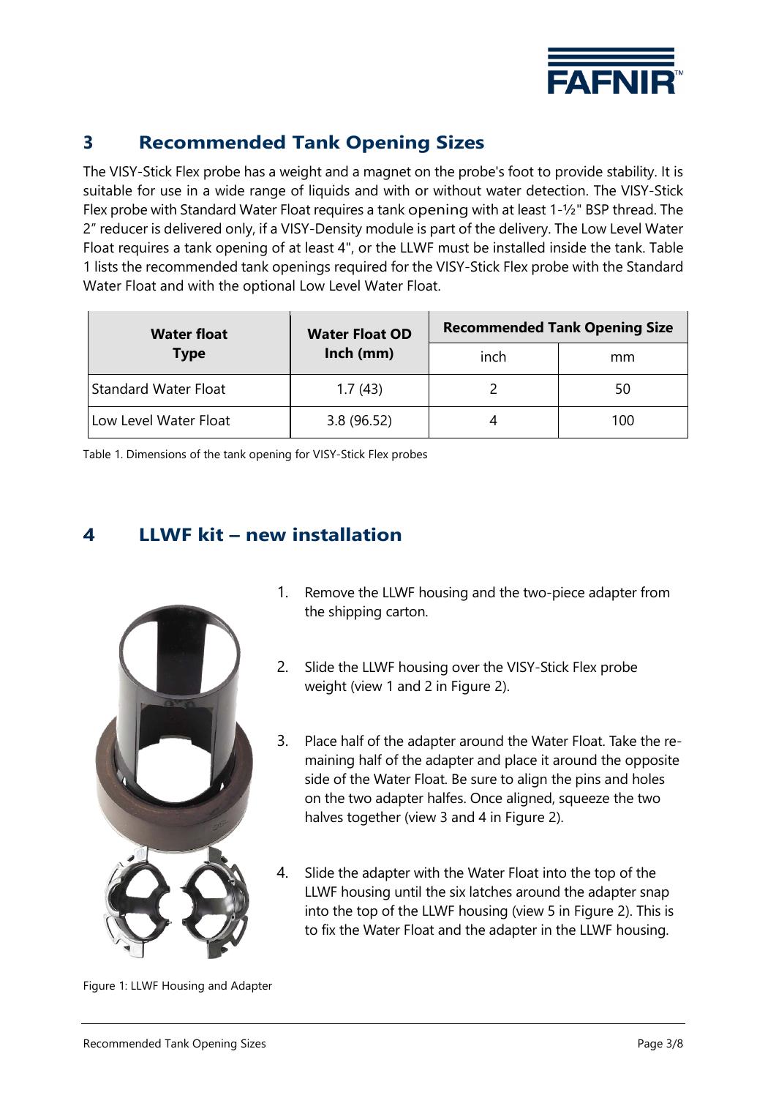

# <span id="page-4-0"></span>**3 Recommended Tank Opening Sizes**

The VISY-Stick Flex probe has a weight and a magnet on the probe's foot to provide stability. It is suitable for use in a wide range of liquids and with or without water detection. The VISY-Stick Flex probe with Standard Water Float requires a tank opening with at least 1-½" BSP thread. The 2" reducer is delivered only, if a VISY-Density module is part of the delivery. The Low Level Water Float requires a tank opening of at least 4", or the LLWF must be installed inside the tank. Table 1 lists the recommended tank openings required for the VISY-Stick Flex probe with the Standard Water Float and with the optional Low Level Water Float.

| <b>Water float</b>    | <b>Water Float OD</b><br>Inch (mm) | <b>Recommended Tank Opening Size</b> |     |
|-----------------------|------------------------------------|--------------------------------------|-----|
| <b>Type</b>           |                                    | inch                                 | mm  |
| Standard Water Float  | 1.7(43)                            |                                      | 50  |
| Low Level Water Float | 3.8(96.52)                         |                                      | 100 |

Table 1. Dimensions of the tank opening for VISY-Stick Flex probes

# <span id="page-4-1"></span>**4 LLWF kit – new installation**



- 1. Remove the LLWF housing and the two-piece adapter from the shipping carton.
- 2. Slide the LLWF housing over the VISY-Stick Flex probe weight (view 1 and 2 in [Figure 2\)](#page-5-0).
- 3. Place half of the adapter around the Water Float. Take the remaining half of the adapter and place it around the opposite side of the Water Float. Be sure to align the pins and holes on the two adapter halfes. Once aligned, squeeze the two halves together (view 3 and 4 in [Figure 2\)](#page-5-0).
- 4. Slide the adapter with the Water Float into the top of the LLWF housing until the six latches around the adapter snap into the top of the LLWF housing (view 5 in [Figure 2\)](#page-5-0). This is to fix the Water Float and the adapter in the LLWF housing.

Figure 1: LLWF Housing and Adapter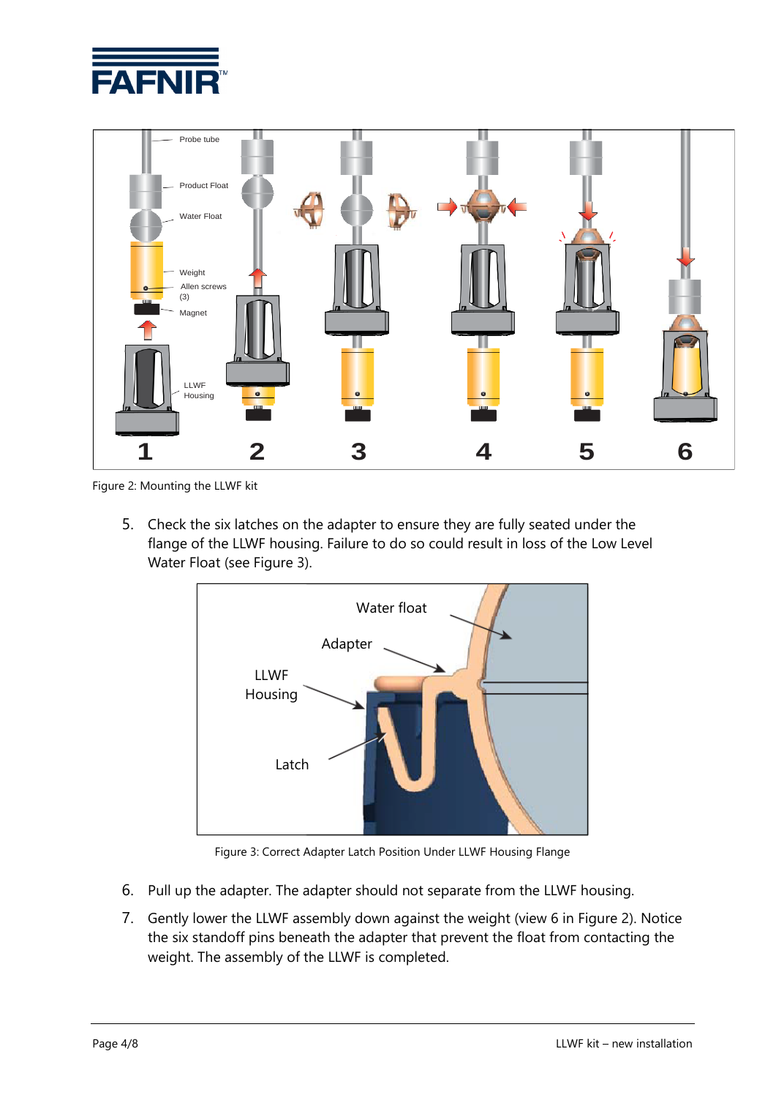



<span id="page-5-0"></span>Figure 2: Mounting the LLWF kit

5. Check the six latches on the adapter to ensure they are fully seated under the flange of the LLWF housing. Failure to do so could result in loss of the Low Level Water Float (see [Figure 3\)](#page-5-1).



Figure 3: Correct Adapter Latch Position Under LLWF Housing Flange

- <span id="page-5-1"></span>6. Pull up the adapter. The adapter should not separate from the LLWF housing.
- 7. Gently lower the LLWF assembly down against the weight (view 6 in [Figure 2\)](#page-5-0). Notice the six standoff pins beneath the adapter that prevent the float from contacting the weight. The assembly of the LLWF is completed.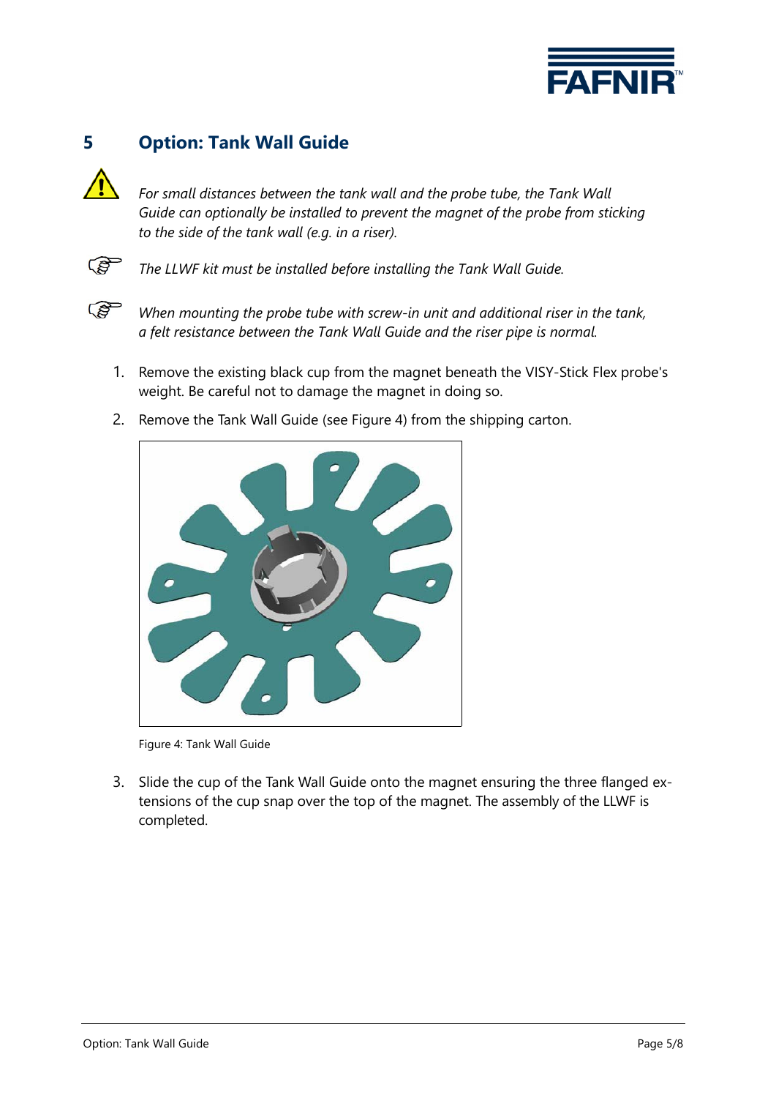

# <span id="page-6-0"></span>**5 Option: Tank Wall Guide**

*For small distances between the tank wall and the probe tube, the Tank Wall Guide can optionally be installed to prevent the magnet of the probe from sticking to the side of the tank wall (e.g. in a riser).* 



*The LLWF kit must be installed before installing the Tank Wall Guide.* 

 $\mathbb{Q}$ *When mounting the probe tube with screw-in unit and additional riser in the tank, a felt resistance between the Tank Wall Guide and the riser pipe is normal.*

- 1. Remove the existing black cup from the magnet beneath the VISY-Stick Flex probe's weight. Be careful not to damage the magnet in doing so.
- 2. Remove the Tank Wall Guide (see Figure 4) from the shipping carton.



Figure 4: Tank Wall Guide

3. Slide the cup of the Tank Wall Guide onto the magnet ensuring the three flanged extensions of the cup snap over the top of the magnet. The assembly of the LLWF is completed.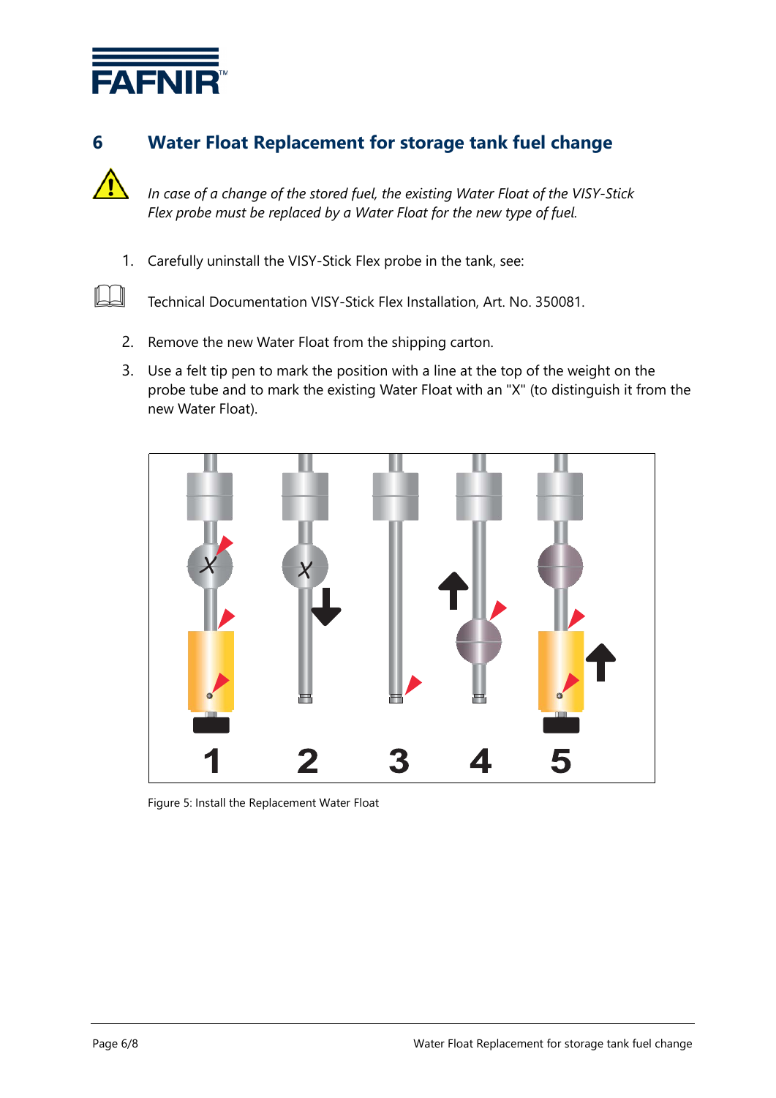

# <span id="page-7-0"></span>**6 Water Float Replacement for storage tank fuel change**

*In case of a change of the stored fuel, the existing Water Float of the VISY-Stick Flex probe must be replaced by a Water Float for the new type of fuel.* 

1. Carefully uninstall the VISY-Stick Flex probe in the tank, see:

Technical Documentation VISY-Stick Flex Installation, Art. No. 350081.

- 2. Remove the new Water Float from the shipping carton.
- 3. Use a felt tip pen to mark the position with a line at the top of the weight on the probe tube and to mark the existing Water Float with an "X" (to distinguish it from the new Water Float).

<span id="page-7-1"></span>

Figure 5: Install the Replacement Water Float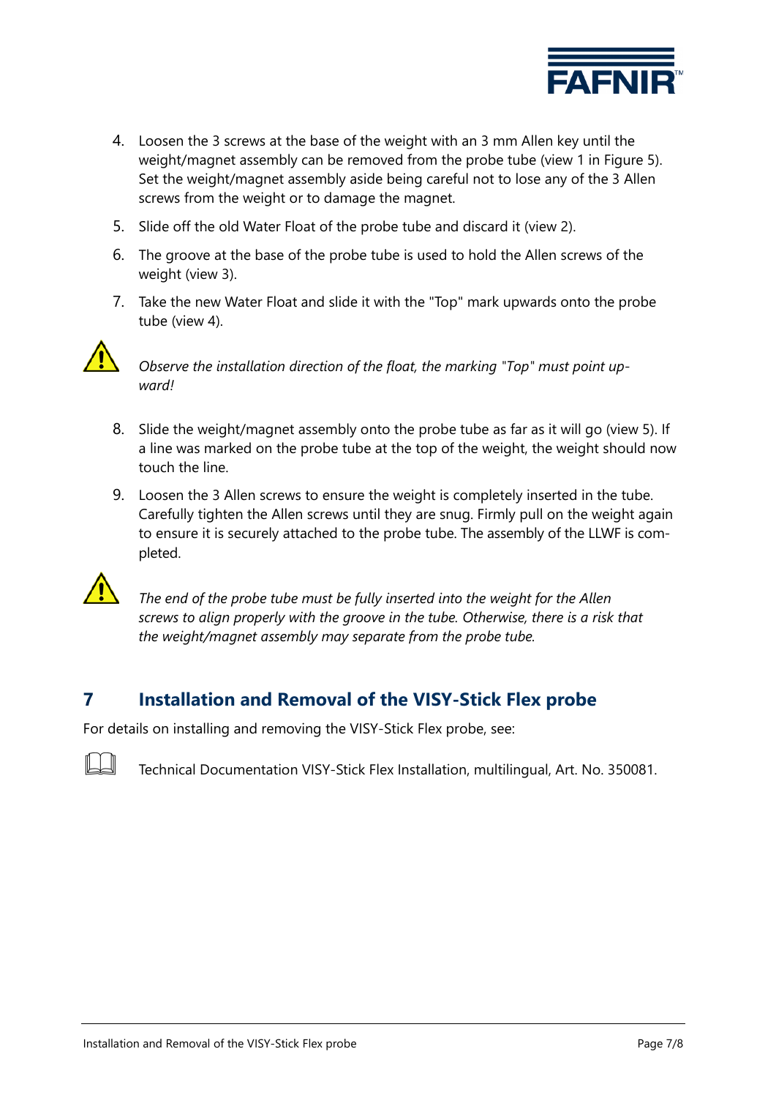

- 4. Loosen the 3 screws at the base of the weight with an 3 mm Allen key until the weight/magnet assembly can be removed from the probe tube (view 1 in [Figure 5\)](#page-7-1). Set the weight/magnet assembly aside being careful not to lose any of the 3 Allen screws from the weight or to damage the magnet.
- 5. Slide off the old Water Float of the probe tube and discard it (view 2).
- 6. The groove at the base of the probe tube is used to hold the Allen screws of the weight (view 3).
- 7. Take the new Water Float and slide it with the "Top" mark upwards onto the probe tube (view 4).



*Observe the installation direction of the float, the marking "Top" must point upward!*

- 8. Slide the weight/magnet assembly onto the probe tube as far as it will go (view 5). If a line was marked on the probe tube at the top of the weight, the weight should now touch the line.
- 9. Loosen the 3 Allen screws to ensure the weight is completely inserted in the tube. Carefully tighten the Allen screws until they are snug. Firmly pull on the weight again to ensure it is securely attached to the probe tube. The assembly of the LLWF is completed.



*The end of the probe tube must be fully inserted into the weight for the Allen screws to align properly with the groove in the tube. Otherwise, there is a risk that the weight/magnet assembly may separate from the probe tube.*

## <span id="page-8-0"></span>**7 Installation and Removal of the VISY-Stick Flex probe**

For details on installing and removing the VISY-Stick Flex probe, see:



Technical Documentation VISY-Stick Flex Installation, multilingual, Art. No. 350081.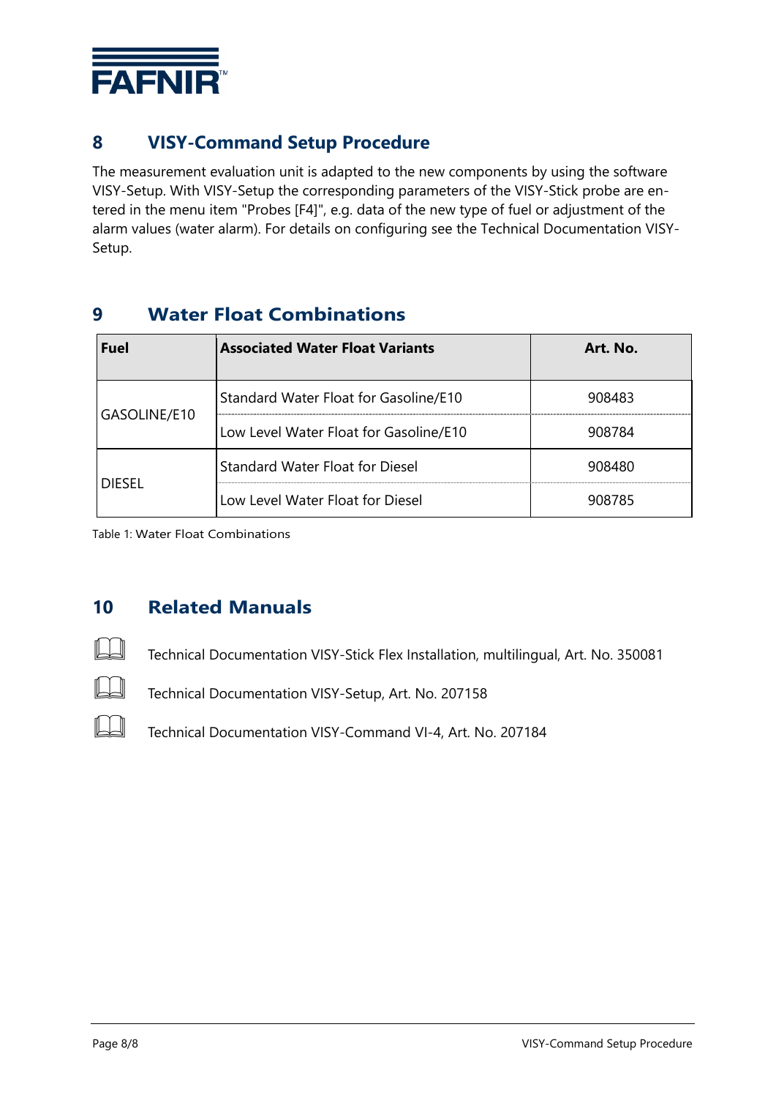

# <span id="page-9-0"></span>**8 VISY-Command Setup Procedure**

The measurement evaluation unit is adapted to the new components by using the software VISY-Setup. With VISY-Setup the corresponding parameters of the VISY-Stick probe are entered in the menu item "Probes [F4]", e.g. data of the new type of fuel or adjustment of the alarm values (water alarm). For details on configuring see the Technical Documentation VISY-Setup.

# <span id="page-9-1"></span>**9 Water Float Combinations**

| <b>Fuel</b>   | <b>Associated Water Float Variants</b> |        |
|---------------|----------------------------------------|--------|
|               | Standard Water Float for Gasoline/E10  | 908483 |
| GASOLINE/E10  | Low Level Water Float for Gasoline/E10 | 908784 |
|               | <b>Standard Water Float for Diesel</b> | 908480 |
| <b>DIESEL</b> | Low Level Water Float for Diesel       | 908785 |

Table 1: Water Float Combinations

# <span id="page-9-2"></span>**10 Related Manuals**

 $\Box$  Technical Documentation VISY-Stick Flex Installation, multilingual, Art. No. 350081



Technical Documentation VISY-Command VI-4, Art. No. 207184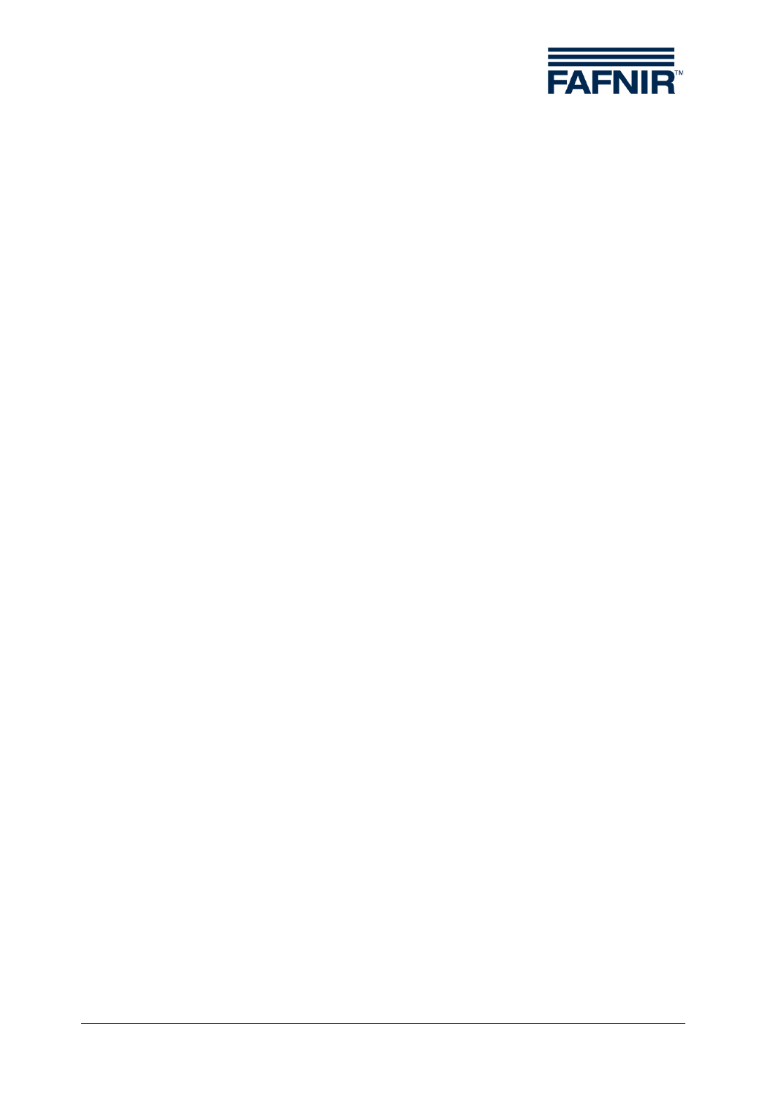